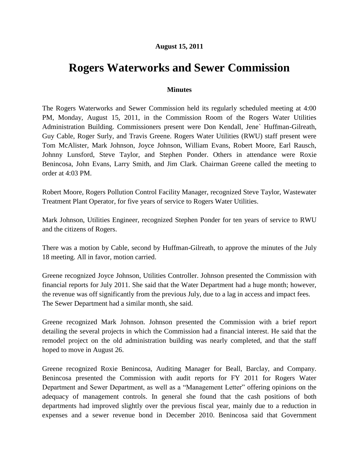## **August 15, 2011**

## **Rogers Waterworks and Sewer Commission**

## **Minutes**

The Rogers Waterworks and Sewer Commission held its regularly scheduled meeting at 4:00 PM, Monday, August 15, 2011, in the Commission Room of the Rogers Water Utilities Administration Building. Commissioners present were Don Kendall, Jene` Huffman-Gilreath, Guy Cable, Roger Surly, and Travis Greene. Rogers Water Utilities (RWU) staff present were Tom McAlister, Mark Johnson, Joyce Johnson, William Evans, Robert Moore, Earl Rausch, Johnny Lunsford, Steve Taylor, and Stephen Ponder. Others in attendance were Roxie Benincosa, John Evans, Larry Smith, and Jim Clark. Chairman Greene called the meeting to order at 4:03 PM.

Robert Moore, Rogers Pollution Control Facility Manager, recognized Steve Taylor, Wastewater Treatment Plant Operator, for five years of service to Rogers Water Utilities.

Mark Johnson, Utilities Engineer, recognized Stephen Ponder for ten years of service to RWU and the citizens of Rogers.

There was a motion by Cable, second by Huffman-Gilreath, to approve the minutes of the July 18 meeting. All in favor, motion carried.

Greene recognized Joyce Johnson, Utilities Controller. Johnson presented the Commission with financial reports for July 2011. She said that the Water Department had a huge month; however, the revenue was off significantly from the previous July, due to a lag in access and impact fees. The Sewer Department had a similar month, she said.

Greene recognized Mark Johnson. Johnson presented the Commission with a brief report detailing the several projects in which the Commission had a financial interest. He said that the remodel project on the old administration building was nearly completed, and that the staff hoped to move in August 26.

Greene recognized Roxie Benincosa, Auditing Manager for Beall, Barclay, and Company. Benincosa presented the Commission with audit reports for FY 2011 for Rogers Water Department and Sewer Department, as well as a "Management Letter" offering opinions on the adequacy of management controls. In general she found that the cash positions of both departments had improved slightly over the previous fiscal year, mainly due to a reduction in expenses and a sewer revenue bond in December 2010. Benincosa said that Government